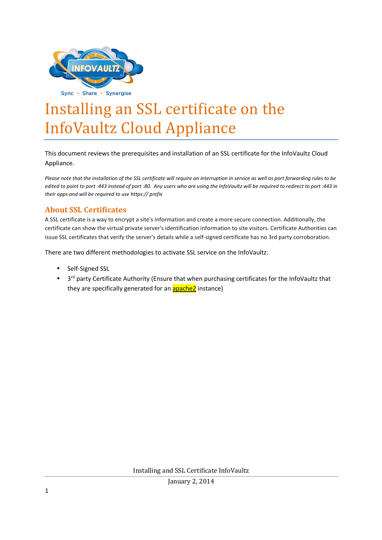

## Installing an SSL certificate on the InfoVaultz Cloud Appliance

This document reviews the prerequisites and installation of an SSL certificate for the InfoVaultz Cloud Appliance.

*Please note that the installation of the SSL certificate will require an interruption in service as well as port forwarding rules to be edited to point to port :443 instead of port :80. Any users who are using the InfoVaultz will be required to redirect to port :443 in their apps and will be required to use https:// prefix* 

## **About SSL Certificates**

A SSL certificate is a way to encrypt a site's information and create a more secure connection. Additionally, the certificate can show the virtual private server's identification information to site visitors. Certificate Authorities can issue SSL certificates that verify the server's details while a self-signed certificate has no 3rd party corroboration.

There are two different methodologies to activate SSL service on the InfoVaultz:

- Self-Signed SSL
- 3<sup>rd</sup> party Certificate Authority (Ensure that when purchasing certificates for the InfoVaultz that they are specifically generated for an **apache2** instance)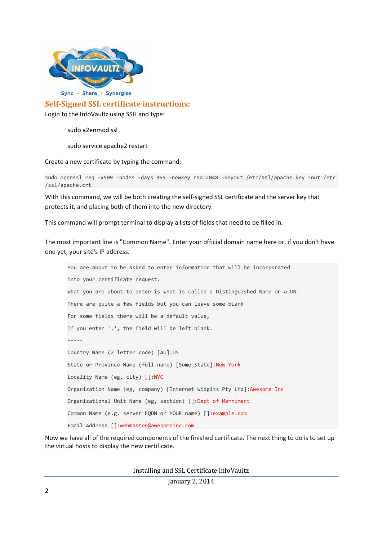

**Self-Signed SSL certificate instructions:** 

Login to the InfoVaultz using SSH and type:

sudo a2enmod ssl

sudo service apache2 restart

Create a new certificate by typing the command:

```
sudo openssl req -x509 -nodes -days 365 -newkey rsa:2048 -keyout /etc/ssl/apache.key -out /etc
/ssl/apache.crt
```
With this command, we will be both creating the self-signed SSL certificate and the server key that protects it, and placing both of them into the new directory.

This command will prompt terminal to display a lists of fields that need to be filled in.

The most important line is "Common Name". Enter your official domain name here or, if you don't have one yet, your site's IP address.

```
You are about to be asked to enter information that will be incorporated 
into your certificate request. 
What you are about to enter is what is called a Distinguished Name or a DN. 
There are quite a few fields but you can leave some blank 
For some fields there will be a default value, 
If you enter '.', the field will be left blank. 
----- 
Country Name (2 letter code) [AU]:US
State or Province Name (full name) [Some-State]:New York
Locality Name (eg, city) []:NYC
Organization Name (eg, company) [Internet Widgits Pty Ltd]:Awesome Inc
Organizational Unit Name (eg, section) []:Dept of Merriment
Common Name (e.g. server FQDN or YOUR name) []:example.com 
Email Address []:webmaster@awesomeinc.com
```
Now we have all of the required components of the finished certificate. The next thing to do is to set up the virtual hosts to display the new certificate.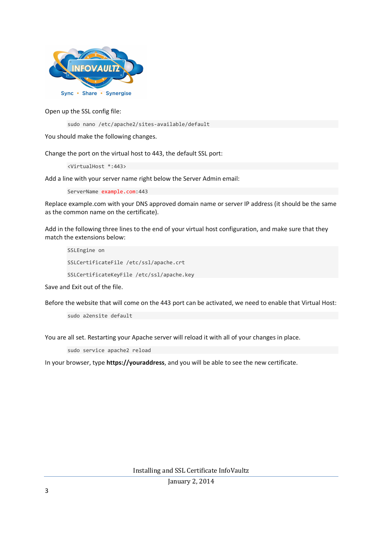

Open up the SSL config file:

```
sudo nano /etc/apache2/sites-available/default
```
You should make the following changes.

Change the port on the virtual host to 443, the default SSL port:

<VirtualHost \*:443>

Add a line with your server name right below the Server Admin email:

ServerName example.com:443

Replace example.com with your DNS approved domain name or server IP address (it should be the same as the common name on the certificate).

Add in the following three lines to the end of your virtual host configuration, and make sure that they match the extensions below:

SSLEngine on SSLCertificateFile /etc/ssl/apache.crt SSLCertificateKeyFile /etc/ssl/apache.key

Save and Exit out of the file.

Before the website that will come on the 443 port can be activated, we need to enable that Virtual Host:

sudo a2ensite default

You are all set. Restarting your Apache server will reload it with all of your changes in place.

sudo service apache2 reload

In your browser, type **https://youraddress**, and you will be able to see the new certificate.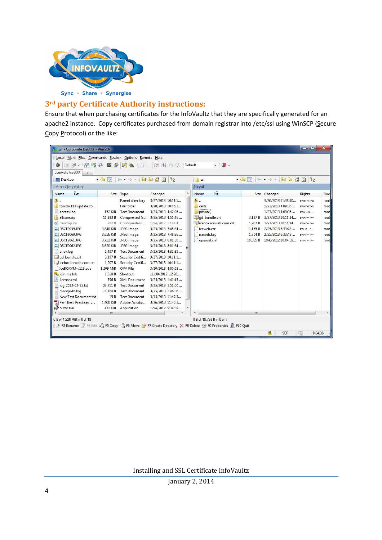

## **3rd party Certificate Authority instructions:**

Ensure that when purchasing certificates for the InfoVaultz that they are specifically generated for an apache2 instance. Copy certificates purchased from domain registrar into /etc/ssl using WinSCP (Secure Copy Protocol) or the like:

| Local Mark Files Commands Session Options Remote Help<br>節・千倍 そ 四 夕 実物                                                                                                                                                                                                                                                                                                |                                                                                                                                                                                                           | $  +  $<br>$\blacksquare$                                                                                                                                                                                                                                                                                                                                               | $ \nabla $ $\phi$<br>$\emptyset$ $\emptyset$                                                                                                                                                                                                                                                                                                                                                                                     |  | $\cdot$ $\cdot$<br>Default                                                                                         |                                                      |                                                                                                                                                                          |                                                                                                               |                                                                |
|-----------------------------------------------------------------------------------------------------------------------------------------------------------------------------------------------------------------------------------------------------------------------------------------------------------------------------------------------------------------------|-----------------------------------------------------------------------------------------------------------------------------------------------------------------------------------------------------------|-------------------------------------------------------------------------------------------------------------------------------------------------------------------------------------------------------------------------------------------------------------------------------------------------------------------------------------------------------------------------|----------------------------------------------------------------------------------------------------------------------------------------------------------------------------------------------------------------------------------------------------------------------------------------------------------------------------------------------------------------------------------------------------------------------------------|--|--------------------------------------------------------------------------------------------------------------------|------------------------------------------------------|--------------------------------------------------------------------------------------------------------------------------------------------------------------------------|---------------------------------------------------------------------------------------------------------------|----------------------------------------------------------------|
| Corporate IceBOX                                                                                                                                                                                                                                                                                                                                                      |                                                                                                                                                                                                           |                                                                                                                                                                                                                                                                                                                                                                         |                                                                                                                                                                                                                                                                                                                                                                                                                                  |  |                                                                                                                    |                                                      |                                                                                                                                                                          |                                                                                                               |                                                                |
| <b>Desktop</b>                                                                                                                                                                                                                                                                                                                                                        |                                                                                                                                                                                                           | $\rightarrow$ $\blacksquare$ $\blacksquare$ $\uparrow$ $\rightarrow$ $\rightarrow$ $\blacksquare$ $\blacksquare$ $\blacksquare$ $\blacksquare$ $\blacksquare$ $\blacksquare$ $\blacksquare$ $\blacksquare$                                                                                                                                                              | 둲                                                                                                                                                                                                                                                                                                                                                                                                                                |  | m<br>ssl                                                                                                           |                                                      | $\cdot$ a $\overline{7}$ : $\leftrightarrow$ $\cdot$ : $\bullet$ $\cdot$ : $\bullet$ $\bullet$ : $\bullet$                                                               | 뭕                                                                                                             |                                                                |
| C: Wsers Vee \Desktop                                                                                                                                                                                                                                                                                                                                                 |                                                                                                                                                                                                           |                                                                                                                                                                                                                                                                                                                                                                         |                                                                                                                                                                                                                                                                                                                                                                                                                                  |  | /etc/ssl                                                                                                           |                                                      |                                                                                                                                                                          |                                                                                                               |                                                                |
| Ext<br>Name                                                                                                                                                                                                                                                                                                                                                           |                                                                                                                                                                                                           | Size Type                                                                                                                                                                                                                                                                                                                                                               | Changed                                                                                                                                                                                                                                                                                                                                                                                                                          |  | Ext<br>Name                                                                                                        |                                                      | Size Changed                                                                                                                                                             | Rights                                                                                                        | Own                                                            |
| 曲.<br>tonido 113 update co<br>access.log<br>allcore.zip<br>desktop.ini<br>DSCF9059.JPG<br>DSCF9060.JPG<br>$\blacksquare$ DSCF9061.JPG<br>DSCF9062.JPG<br>error.log<br>gd bundle.crt<br>icebox.iceweb.com.crt<br>IceBOXVM-v113.ova<br>a join.me.ink<br>license.xml<br>log_2013-03-25.txt<br>mongodb.log<br>New Text Document.txt<br>Perf_Best_Practices_v<br>putty.exe | 152 KiB<br>11.193 B<br>282 B<br>3,840 KiB<br>3,656 KiB<br>3.732 KiB<br>3.620 KiB<br>1.497 B<br>3.197 B<br>1,907B<br>1.209 MiB<br>1.018 B<br>796 B<br>23,711 B<br>11,164 B<br>15 B<br>1.400 KiB<br>472 KiB | Parent directory<br>File folder<br><b>Text Document</b><br>Compressed (z<br>Configuration<br>JPEG image<br>JPEG image<br>JPEG image<br>JPEG image<br><b>Text Document</b><br>Security Certifi<br>Security Certifi<br>OVA File<br>Shortcut<br><b>XML</b> Document<br><b>Text Document</b><br><b>Text Document</b><br><b>Text Document</b><br>Adobe Acroba<br>Application | 3/27/2013 10:11:1<br>3/20/2013 10:16:3<br>3/25/2013 4:42:08<br>3/25/2013 4:51:46<br>12/4/2012 12:44:4<br>3/25/2013 7:48:34<br>3/25/2013 7:48:36<br>3/25/2013 8:01:30<br>3/25/2013 8:01:34<br>3/25/2013 4:31:35<br>3/27/2013 10:11:1<br>3/27/2013 10:11:1<br>3/20/2013 4:00:52<br>11/30/2012 12:26:<br>3/25/2013 1:41:45<br>3/25/2013 3:51:00<br>3/25/2013 1:46:06<br>3/15/2013 11:47:3<br>3/26/2013 11:40:3<br>12/4/2012 9:34:39 |  | <b>t.</b><br>certs<br>private<br>gd bundle.crt<br>icebox.iceweb.com.crt<br>iceweb.csr<br>iceweb.key<br>openssl.cnf | 3.197 B<br>1,907 B<br>1,155 B<br>1,704 B<br>10.835 B | 3/26/2013 11:38:10<br>1/23/2013 4:09:36<br>1/23/2013 4:09:36<br>3/27/2013 10:11:14<br>3/27/2013 10:11:14<br>2/25/2013 6:33:43<br>2/25/2013 6:33:43<br>10/6/2012 10:04:59 | rwxr-xr-x<br>$TWXT-XT-X$<br>$T$ WX--X---<br>$rw-r-r-$<br>$rw-r-r-r-$<br>$rw-r-r-$<br>$rw-r-r-r-$<br>$rw-r-r-$ | rootl<br>root<br>root<br>rootl<br>root<br>root<br>root<br>root |
|                                                                                                                                                                                                                                                                                                                                                                       | m                                                                                                                                                                                                         |                                                                                                                                                                                                                                                                                                                                                                         |                                                                                                                                                                                                                                                                                                                                                                                                                                  |  |                                                                                                                    | m.                                                   |                                                                                                                                                                          |                                                                                                               |                                                                |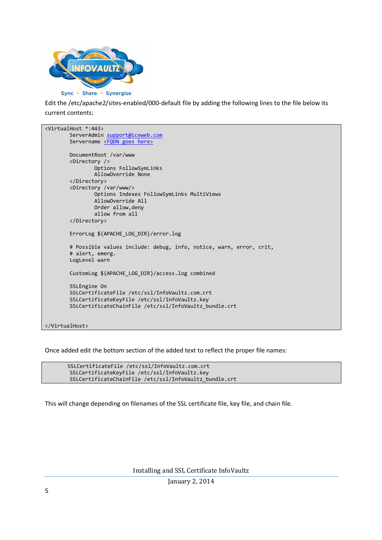

Edit the /etc/apache2/sites-enabled/000-default file by adding the following lines to the file below its current contents:

```
<VirtualHost *:443> 
         ServerAdmin support@iceweb.com
        Servername <FQDN goes here>
         DocumentRoot /var/www 
         <Directory /> 
                  Options FollowSymLinks 
                  AllowOverride None 
         </Directory> 
         <Directory /var/www/> 
                  Options Indexes FollowSymLinks MultiViews 
                  AllowOverride All 
                  Order allow,deny 
                  allow from all 
         </Directory> 
         ErrorLog ${APACHE_LOG_DIR}/error.log 
         # Possible values include: debug, info, notice, warn, error, crit, 
         # alert, emerg. 
         LogLevel warn 
         CustomLog ${APACHE_LOG_DIR}/access.log combined 
         SSLEngine On 
         SSLCertificateFile /etc/ssl/InfoVaultz.com.crt 
         SSLCertificateKeyFile /etc/ssl/InfoVaultz.key 
         SSLCertificateChainFile /etc/ssl/InfoVaultz_bundle.crt 
</VirtualHost>
```
Once added edit the bottom section of the added text to reflect the proper file names:

SSLCertificateFile /etc/ssl/InfoVaultz.com.crt SSLCertificateKeyFile /etc/ssl/InfoVaultz.key SSLCertificateChainFile /etc/ssl/InfoVaultz\_bundle.crt

This will change depending on filenames of the SSL certificate file, key file, and chain file.